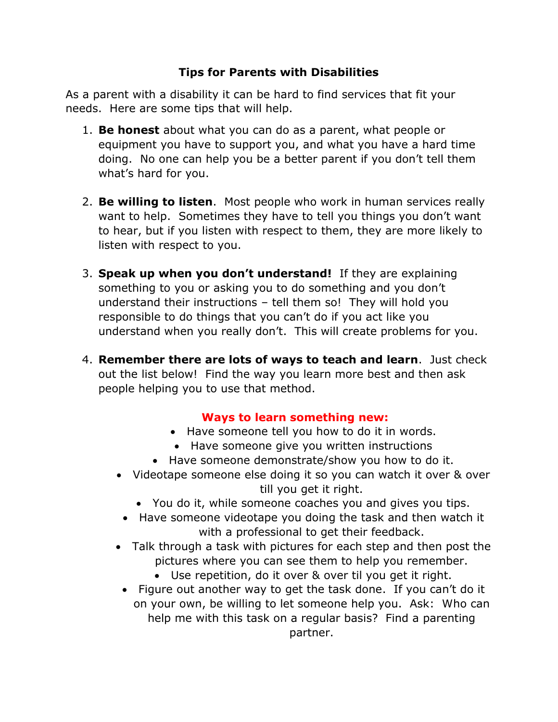## **Tips for Parents with Disabilities**

As a parent with a disability it can be hard to find services that fit your needs. Here are some tips that will help.

- 1. **Be honest** about what you can do as a parent, what people or equipment you have to support you, and what you have a hard time doing. No one can help you be a better parent if you don't tell them what's hard for you.
- 2. **Be willing to listen**. Most people who work in human services really want to help. Sometimes they have to tell you things you don't want to hear, but if you listen with respect to them, they are more likely to listen with respect to you.
- 3. **Speak up when you don't understand!** If they are explaining something to you or asking you to do something and you don't understand their instructions – tell them so! They will hold you responsible to do things that you can't do if you act like you understand when you really don't. This will create problems for you.
- 4. **Remember there are lots of ways to teach and learn**. Just check out the list below! Find the way you learn more best and then ask people helping you to use that method.

## **Ways to learn something new:**

- Have someone tell you how to do it in words.
- Have someone give you written instructions
- Have someone demonstrate/show you how to do it.
- Videotape someone else doing it so you can watch it over & over till you get it right.
	- You do it, while someone coaches you and gives you tips.
	- Have someone videotape you doing the task and then watch it with a professional to get their feedback.
- Talk through a task with pictures for each step and then post the pictures where you can see them to help you remember.
	- Use repetition, do it over & over til you get it right.
	- Figure out another way to get the task done. If you can't do it on your own, be willing to let someone help you. Ask: Who can help me with this task on a regular basis? Find a parenting partner.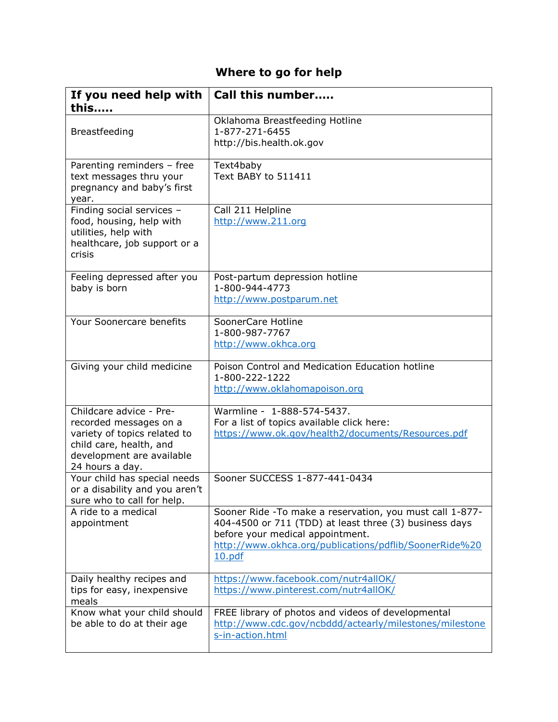# **Where to go for help**

| If you need help with<br>this                                                                                                                                | Call this number                                                                                                                                                                                                            |
|--------------------------------------------------------------------------------------------------------------------------------------------------------------|-----------------------------------------------------------------------------------------------------------------------------------------------------------------------------------------------------------------------------|
| Breastfeeding                                                                                                                                                | Oklahoma Breastfeeding Hotline<br>1-877-271-6455<br>http://bis.health.ok.gov                                                                                                                                                |
| Parenting reminders - free<br>text messages thru your<br>pregnancy and baby's first<br>year.                                                                 | Text4baby<br>Text BABY to 511411                                                                                                                                                                                            |
| Finding social services -<br>food, housing, help with<br>utilities, help with<br>healthcare, job support or a<br>crisis                                      | Call 211 Helpline<br>http://www.211.org                                                                                                                                                                                     |
| Feeling depressed after you<br>baby is born                                                                                                                  | Post-partum depression hotline<br>1-800-944-4773<br>http://www.postparum.net                                                                                                                                                |
| Your Soonercare benefits                                                                                                                                     | SoonerCare Hotline<br>1-800-987-7767<br>http://www.okhca.org                                                                                                                                                                |
| Giving your child medicine                                                                                                                                   | Poison Control and Medication Education hotline<br>1-800-222-1222<br>http://www.oklahomapoison.org                                                                                                                          |
| Childcare advice - Pre-<br>recorded messages on a<br>variety of topics related to<br>child care, health, and<br>development are available<br>24 hours a day. | Warmline - 1-888-574-5437.<br>For a list of topics available click here:<br>https://www.ok.gov/health2/documents/Resources.pdf                                                                                              |
| Your child has special needs<br>or a disability and you aren't<br>sure who to call for help.                                                                 | Sooner SUCCESS 1-877-441-0434                                                                                                                                                                                               |
| A ride to a medical<br>appointment                                                                                                                           | Sooner Ride - To make a reservation, you must call 1-877-<br>404-4500 or 711 (TDD) at least three (3) business days<br>before your medical appointment.<br>http://www.okhca.org/publications/pdflib/SoonerRide%20<br>10.pdf |
| Daily healthy recipes and<br>tips for easy, inexpensive<br>meals                                                                                             | https://www.facebook.com/nutr4allOK/<br>https://www.pinterest.com/nutr4allOK/                                                                                                                                               |
| Know what your child should<br>be able to do at their age                                                                                                    | FREE library of photos and videos of developmental<br>http://www.cdc.gov/ncbddd/actearly/milestones/milestone<br>s-in-action.html                                                                                           |